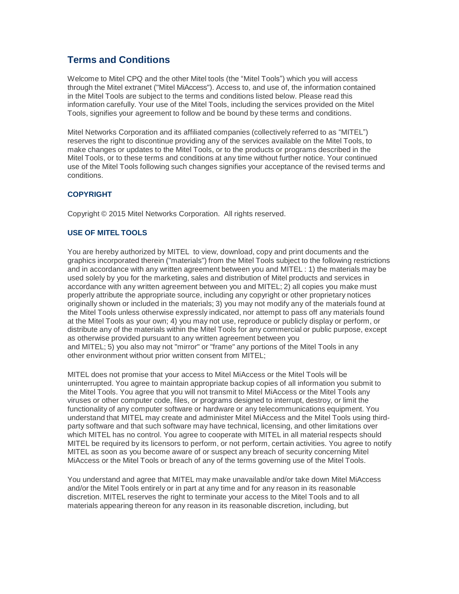# **Terms and Conditions**

Welcome to Mitel CPQ and the other Mitel tools (the "Mitel Tools") which you will access through the Mitel extranet ("Mitel MiAccess"). Access to, and use of, the information contained in the Mitel Tools are subject to the terms and conditions listed below. Please read this information carefully. Your use of the Mitel Tools, including the services provided on the Mitel Tools, signifies your agreement to follow and be bound by these terms and conditions.

Mitel Networks Corporation and its affiliated companies (collectively referred to as "MITEL") reserves the right to discontinue providing any of the services available on the Mitel Tools, to make changes or updates to the Mitel Tools, or to the products or programs described in the Mitel Tools, or to these terms and conditions at any time without further notice. Your continued use of the Mitel Tools following such changes signifies your acceptance of the revised terms and conditions.

# **COPYRIGHT**

Copyright © 2015 Mitel Networks Corporation. All rights reserved.

# **USE OF MITEL TOOLS**

You are hereby authorized by MITEL to view, download, copy and print documents and the graphics incorporated therein ("materials") from the Mitel Tools subject to the following restrictions and in accordance with any written agreement between you and MITEL : 1) the materials may be used solely by you for the marketing, sales and distribution of Mitel products and services in accordance with any written agreement between you and MITEL; 2) all copies you make must properly attribute the appropriate source, including any copyright or other proprietary notices originally shown or included in the materials; 3) you may not modify any of the materials found at the Mitel Tools unless otherwise expressly indicated, nor attempt to pass off any materials found at the Mitel Tools as your own; 4) you may not use, reproduce or publicly display or perform, or distribute any of the materials within the Mitel Tools for any commercial or public purpose, except as otherwise provided pursuant to any written agreement between you and MITEL; 5) you also may not "mirror" or "frame" any portions of the Mitel Tools in any other environment without prior written consent from MITEL;

MITEL does not promise that your access to Mitel MiAccess or the Mitel Tools will be uninterrupted. You agree to maintain appropriate backup copies of all information you submit to the Mitel Tools. You agree that you will not transmit to Mitel MiAccess or the Mitel Tools any viruses or other computer code, files, or programs designed to interrupt, destroy, or limit the functionality of any computer software or hardware or any telecommunications equipment. You understand that MITEL may create and administer Mitel MiAccess and the Mitel Tools using thirdparty software and that such software may have technical, licensing, and other limitations over which MITEL has no control. You agree to cooperate with MITEL in all material respects should MITEL be required by its licensors to perform, or not perform, certain activities. You agree to notify MITEL as soon as you become aware of or suspect any breach of security concerning Mitel MiAccess or the Mitel Tools or breach of any of the terms governing use of the Mitel Tools.

You understand and agree that MITEL may make unavailable and/or take down Mitel MiAccess and/or the Mitel Tools entirely or in part at any time and for any reason in its reasonable discretion. MITEL reserves the right to terminate your access to the Mitel Tools and to all materials appearing thereon for any reason in its reasonable discretion, including, but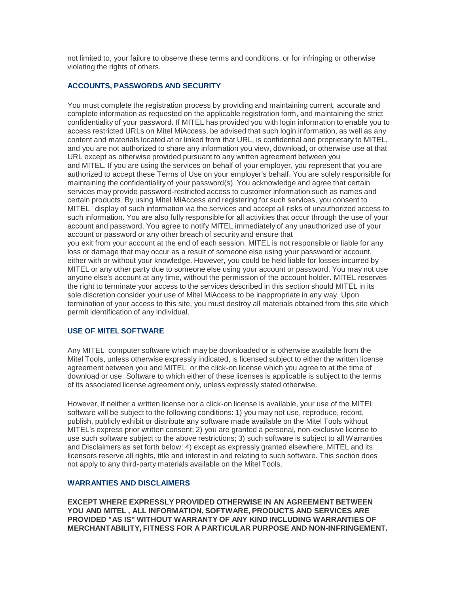not limited to, your failure to observe these terms and conditions, or for infringing or otherwise violating the rights of others.

## **ACCOUNTS, PASSWORDS AND SECURITY**

You must complete the registration process by providing and maintaining current, accurate and complete information as requested on the applicable registration form, and maintaining the strict confidentiality of your password. If MITEL has provided you with login information to enable you to access restricted URLs on Mitel MiAccess, be advised that such login information, as well as any content and materials located at or linked from that URL, is confidential and proprietary to MITEL, and you are not authorized to share any information you view, download, or otherwise use at that URL except as otherwise provided pursuant to any written agreement between you and MITEL. If you are using the services on behalf of your employer, you represent that you are authorized to accept these Terms of Use on your employer's behalf. You are solely responsible for maintaining the confidentiality of your password(s). You acknowledge and agree that certain services may provide password-restricted access to customer information such as names and certain products. By using Mitel MiAccess and registering for such services, you consent to MITEL ' display of such information via the services and accept all risks of unauthorized access to such information. You are also fully responsible for all activities that occur through the use of your account and password. You agree to notify MITEL immediately of any unauthorized use of your account or password or any other breach of security and ensure that you exit from your account at the end of each session. MITEL is not responsible or liable for any loss or damage that may occur as a result of someone else using your password or account, either with or without your knowledge. However, you could be held liable for losses incurred by MITEL or any other party due to someone else using your account or password. You may not use anyone else's account at any time, without the permission of the account holder. MITEL reserves the right to terminate your access to the services described in this section should MITEL in its sole discretion consider your use of Mitel MiAccess to be inappropriate in any way. Upon termination of your access to this site, you must destroy all materials obtained from this site which permit identification of any individual.

## **USE OF MITEL SOFTWARE**

Any MITEL computer software which may be downloaded or is otherwise available from the Mitel Tools, unless otherwise expressly indicated, is licensed subject to either the written license agreement between you and MITEL or the click-on license which you agree to at the time of download or use. Software to which either of these licenses is applicable is subject to the terms of its associated license agreement only, unless expressly stated otherwise.

However, if neither a written license nor a click-on license is available, your use of the MITEL software will be subject to the following conditions: 1) you may not use, reproduce, record, publish, publicly exhibit or distribute any software made available on the Mitel Tools without MITEL's express prior written consent; 2) you are granted a personal, non-exclusive license to use such software subject to the above restrictions; 3) such software is subject to all Warranties and Disclaimers as set forth below; 4) except as expressly granted elsewhere, MITEL and its licensors reserve all rights, title and interest in and relating to such software. This section does not apply to any third-party materials available on the Mitel Tools.

## **WARRANTIES AND DISCLAIMERS**

**EXCEPT WHERE EXPRESSLY PROVIDED OTHERWISE IN AN AGREEMENT BETWEEN YOU AND MITEL , ALL INFORMATION, SOFTWARE, PRODUCTS AND SERVICES ARE PROVIDED "AS IS" WITHOUT WARRANTY OF ANY KIND INCLUDING WARRANTIES OF MERCHANTABILITY, FITNESS FOR A PARTICULAR PURPOSE AND NON-INFRINGEMENT.**